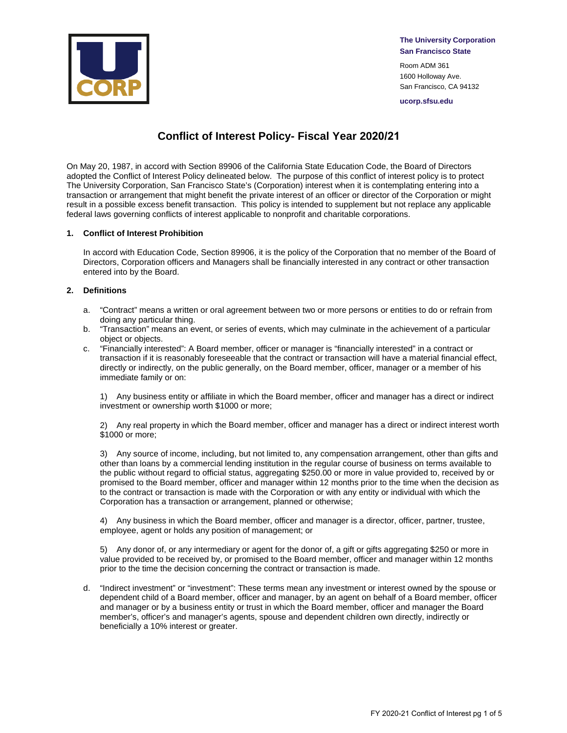

**The University Corporation San Francisco State**

Room ADM 361 1600 Holloway Ave. San Francisco, CA 94132

**ucorp.sfsu.edu**

# **Conflict of Interest Policy- Fiscal Year 2020/21**

On May 20, 1987, in accord with Section 89906 of the California State Education Code, the Board of Directors adopted the Conflict of Interest Policy delineated below. The purpose of this conflict of interest policy is to protect The University Corporation, San Francisco State's (Corporation) interest when it is contemplating entering into a transaction or arrangement that might benefit the private interest of an officer or director of the Corporation or might result in a possible excess benefit transaction. This policy is intended to supplement but not replace any applicable federal laws governing conflicts of interest applicable to nonprofit and charitable corporations.

# **1. Conflict of Interest Prohibition**

In accord with Education Code, Section 89906, it is the policy of the Corporation that no member of the Board of Directors, Corporation officers and Managers shall be financially interested in any contract or other transaction entered into by the Board.

### **2. Definitions**

- a. "Contract" means a written or oral agreement between two or more persons or entities to do or refrain from doing any particular thing.
- b. "Transaction" means an event, or series of events, which may culminate in the achievement of a particular object or objects.
- c. "Financially interested": A Board member, officer or manager is "financially interested" in a contract or transaction if it is reasonably foreseeable that the contract or transaction will have a material financial effect, directly or indirectly, on the public generally, on the Board member, officer, manager or a member of his immediate family or on:

1) Any business entity or affiliate in which the Board member, officer and manager has a direct or indirect investment or ownership worth \$1000 or more;

2) Any real property in which the Board member, officer and manager has a direct or indirect interest worth \$1000 or more;

3) Any source of income, including, but not limited to, any compensation arrangement, other than gifts and other than loans by a commercial lending institution in the regular course of business on terms available to the public without regard to official status, aggregating \$250.00 or more in value provided to, received by or promised to the Board member, officer and manager within 12 months prior to the time when the decision as to the contract or transaction is made with the Corporation or with any entity or individual with which the Corporation has a transaction or arrangement, planned or otherwise;

4) Any business in which the Board member, officer and manager is a director, officer, partner, trustee, employee, agent or holds any position of management; or

5) Any donor of, or any intermediary or agent for the donor of, a gift or gifts aggregating \$250 or more in value provided to be received by, or promised to the Board member, officer and manager within 12 months prior to the time the decision concerning the contract or transaction is made.

d. "Indirect investment" or "investment": These terms mean any investment or interest owned by the spouse or dependent child of a Board member, officer and manager, by an agent on behalf of a Board member, officer and manager or by a business entity or trust in which the Board member, officer and manager the Board member's, officer's and manager's agents, spouse and dependent children own directly, indirectly or beneficially a 10% interest or greater.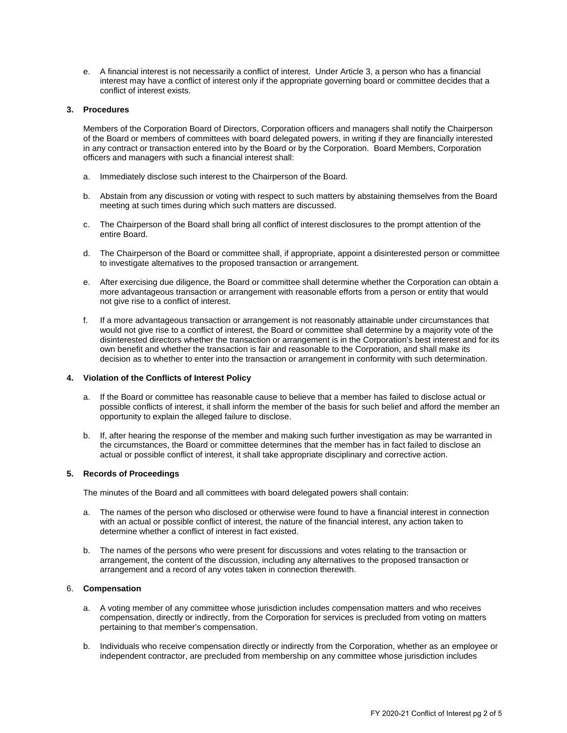e. A financial interest is not necessarily a conflict of interest. Under Article 3, a person who has a financial interest may have a conflict of interest only if the appropriate governing board or committee decides that a conflict of interest exists.

# **3. Procedures**

Members of the Corporation Board of Directors, Corporation officers and managers shall notify the Chairperson of the Board or members of committees with board delegated powers, in writing if they are financially interested in any contract or transaction entered into by the Board or by the Corporation. Board Members, Corporation officers and managers with such a financial interest shall:

- a. Immediately disclose such interest to the Chairperson of the Board.
- b. Abstain from any discussion or voting with respect to such matters by abstaining themselves from the Board meeting at such times during which such matters are discussed.
- c. The Chairperson of the Board shall bring all conflict of interest disclosures to the prompt attention of the entire Board.
- d. The Chairperson of the Board or committee shall, if appropriate, appoint a disinterested person or committee to investigate alternatives to the proposed transaction or arrangement.
- e. After exercising due diligence, the Board or committee shall determine whether the Corporation can obtain a more advantageous transaction or arrangement with reasonable efforts from a person or entity that would not give rise to a conflict of interest.
- f. If a more advantageous transaction or arrangement is not reasonably attainable under circumstances that would not give rise to a conflict of interest, the Board or committee shall determine by a majority vote of the disinterested directors whether the transaction or arrangement is in the Corporation's best interest and for its own benefit and whether the transaction is fair and reasonable to the Corporation, and shall make its decision as to whether to enter into the transaction or arrangement in conformity with such determination.

### **4. Violation of the Conflicts of Interest Policy**

- a. If the Board or committee has reasonable cause to believe that a member has failed to disclose actual or possible conflicts of interest, it shall inform the member of the basis for such belief and afford the member an opportunity to explain the alleged failure to disclose.
- b. If, after hearing the response of the member and making such further investigation as may be warranted in the circumstances, the Board or committee determines that the member has in fact failed to disclose an actual or possible conflict of interest, it shall take appropriate disciplinary and corrective action.

#### **5. Records of Proceedings**

The minutes of the Board and all committees with board delegated powers shall contain:

- a. The names of the person who disclosed or otherwise were found to have a financial interest in connection with an actual or possible conflict of interest, the nature of the financial interest, any action taken to determine whether a conflict of interest in fact existed.
- b. The names of the persons who were present for discussions and votes relating to the transaction or arrangement, the content of the discussion, including any alternatives to the proposed transaction or arrangement and a record of any votes taken in connection therewith.

# 6. **Compensation**

- a. A voting member of any committee whose jurisdiction includes compensation matters and who receives compensation, directly or indirectly, from the Corporation for services is precluded from voting on matters pertaining to that member's compensation.
- b. Individuals who receive compensation directly or indirectly from the Corporation, whether as an employee or independent contractor, are precluded from membership on any committee whose jurisdiction includes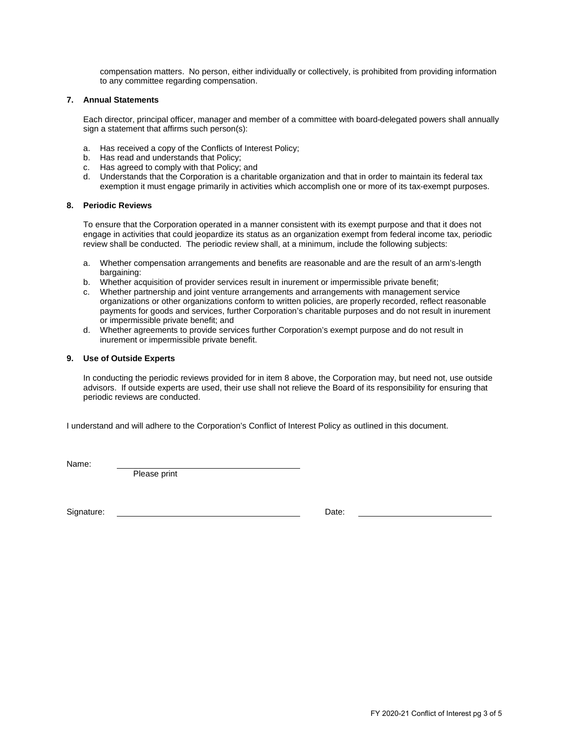compensation matters. No person, either individually or collectively, is prohibited from providing information to any committee regarding compensation.

#### **7. Annual Statements**

Each director, principal officer, manager and member of a committee with board-delegated powers shall annually sign a statement that affirms such person(s):

- a. Has received a copy of the Conflicts of Interest Policy;
- b. Has read and understands that Policy;
- c. Has agreed to comply with that Policy; and
- d. Understands that the Corporation is a charitable organization and that in order to maintain its federal tax exemption it must engage primarily in activities which accomplish one or more of its tax-exempt purposes.

### **8. Periodic Reviews**

To ensure that the Corporation operated in a manner consistent with its exempt purpose and that it does not engage in activities that could jeopardize its status as an organization exempt from federal income tax, periodic review shall be conducted. The periodic review shall, at a minimum, include the following subjects:

- a. Whether compensation arrangements and benefits are reasonable and are the result of an arm's-length bargaining:
- b. Whether acquisition of provider services result in inurement or impermissible private benefit;
- c. Whether partnership and joint venture arrangements and arrangements with management service organizations or other organizations conform to written policies, are properly recorded, reflect reasonable payments for goods and services, further Corporation's charitable purposes and do not result in inurement or impermissible private benefit; and
- d. Whether agreements to provide services further Corporation's exempt purpose and do not result in inurement or impermissible private benefit.

### **9. Use of Outside Experts**

In conducting the periodic reviews provided for in item 8 above, the Corporation may, but need not, use outside advisors. If outside experts are used, their use shall not relieve the Board of its responsibility for ensuring that periodic reviews are conducted.

I understand and will adhere to the Corporation's Conflict of Interest Policy as outlined in this document.

Name:

Please print

Signature: Date: **Date:** Date: **Date: Date: Date: Date: Date: Date: Date: Date: Date: Date: Date: Date: Date: Date: Date: Date: Date: Date: Date: Date: Date: Date: Date: Date:**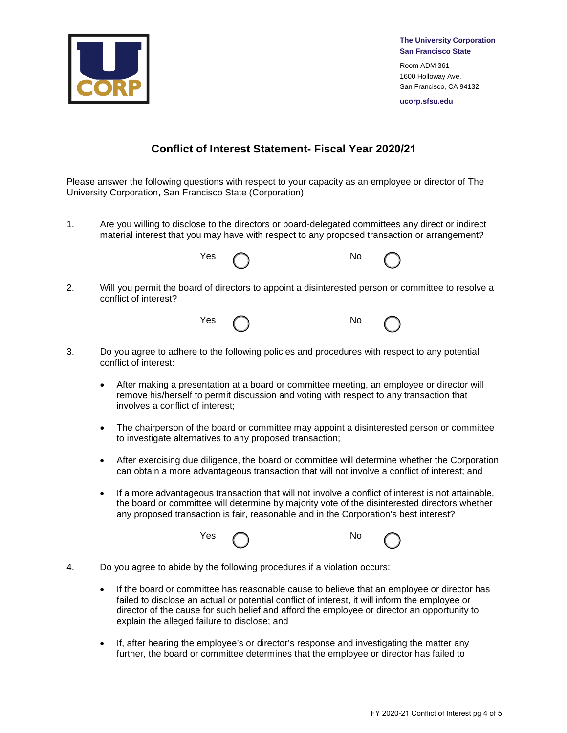

**The University Corporation San Francisco State**

Room ADM 361 1600 Holloway Ave. San Francisco, CA 94132

**ucorp.sfsu.edu**

# **Conflict of Interest Statement- Fiscal Year 2020/21**

Please answer the following questions with respect to your capacity as an employee or director of The University Corporation, San Francisco State (Corporation).

1. Are you willing to disclose to the directors or board-delegated committees any direct or indirect material interest that you may have with respect to any proposed transaction or arrangement?



2. Will you permit the board of directors to appoint a disinterested person or committee to resolve a conflict of interest?



- 3. Do you agree to adhere to the following policies and procedures with respect to any potential conflict of interest:
	- After making a presentation at a board or committee meeting, an employee or director will remove his/herself to permit discussion and voting with respect to any transaction that involves a conflict of interest;
	- The chairperson of the board or committee may appoint a disinterested person or committee to investigate alternatives to any proposed transaction;
	- After exercising due diligence, the board or committee will determine whether the Corporation can obtain a more advantageous transaction that will not involve a conflict of interest; and
	- If a more advantageous transaction that will not involve a conflict of interest is not attainable, the board or committee will determine by majority vote of the disinterested directors whether any proposed transaction is fair, reasonable and in the Corporation's best interest?



- 4. Do you agree to abide by the following procedures if a violation occurs:
	- If the board or committee has reasonable cause to believe that an employee or director has failed to disclose an actual or potential conflict of interest, it will inform the employee or director of the cause for such belief and afford the employee or director an opportunity to explain the alleged failure to disclose; and
	- If, after hearing the employee's or director's response and investigating the matter any further, the board or committee determines that the employee or director has failed to